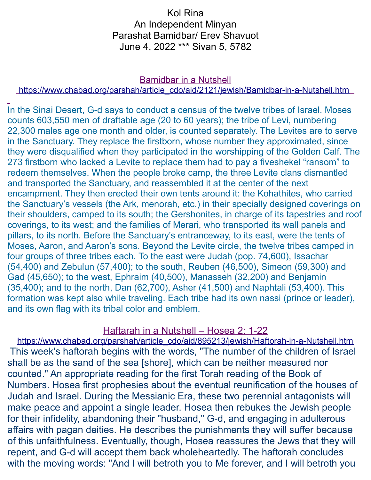# Kol Rina An Independent Minyan Parashat Bamidbar/ Erev Shavuot June 4, 2022 \*\*\* Sivan 5, 5782

#### Bamidbar in a Nutshell

#### [https://www.chabad.org/parshah/article\\_cdo/aid/2121/jewish/Bamidbar-in-a-Nutshell.htm](https://www.chabad.org/parshah/article_cdo/aid/2121/jewish/Bamidbar-in-a-Nutshell.htm)

In the Sinai Desert, G-d says to conduct a census of the twelve tribes of Israel. Moses counts 603,550 men of draftable age (20 to 60 years); the tribe of Levi, numbering 22,300 males age one month and older, is counted separately. The Levites are to serve in the Sanctuary. They replace the firstborn, whose number they approximated, since they were disqualified when they participated in the worshipping of the Golden Calf. The 273 firstborn who lacked a Levite to replace them had to pay a fiveshekel "ransom" to redeem themselves. When the people broke camp, the three Levite clans dismantled and transported the Sanctuary, and reassembled it at the center of the next encampment. They then erected their own tents around it: the Kohathites, who carried the Sanctuary's vessels (the Ark, menorah, etc.) in their specially designed coverings on their shoulders, camped to its south; the Gershonites, in charge of its tapestries and roof coverings, to its west; and the families of Merari, who transported its wall panels and pillars, to its north. Before the Sanctuary's entranceway, to its east, were the tents of Moses, Aaron, and Aaron's sons. Beyond the Levite circle, the twelve tribes camped in four groups of three tribes each. To the east were Judah (pop. 74,600), Issachar (54,400) and Zebulun (57,400); to the south, Reuben (46,500), Simeon (59,300) and Gad (45,650); to the west, Ephraim (40,500), Manasseh (32,200) and Benjamin (35,400); and to the north, Dan (62,700), Asher (41,500) and Naphtali (53,400). This formation was kept also while traveling. Each tribe had its own nassi (prince or leader), and its own flag with its tribal color and emblem.

#### Haftarah in a Nutshell – Hosea 2: 1-22

[https://www.chabad.org/parshah/article\\_cdo/aid/895213/jewish/Haftorah-in-a-Nutshell.htm](https://www.chabad.org/parshah/article_cdo/aid/895213/jewish/Haftorah-in-a-Nutshell.htm) This week's haftorah begins with the words, "The number of the children of Israel shall be as the sand of the sea [shore], which can be neither measured nor counted." An appropriate reading for the first Torah reading of the Book of Numbers. Hosea first prophesies about the eventual reunification of the houses of Judah and Israel. During the Messianic Era, these two perennial antagonists will make peace and appoint a single leader. Hosea then rebukes the Jewish people for their infidelity, abandoning their "husband," G-d, and engaging in adulterous affairs with pagan deities. He describes the punishments they will suffer because of this unfaithfulness. Eventually, though, Hosea reassures the Jews that they will repent, and G-d will accept them back wholeheartedly. The haftorah concludes with the moving words: "And I will betroth you to Me forever, and I will betroth you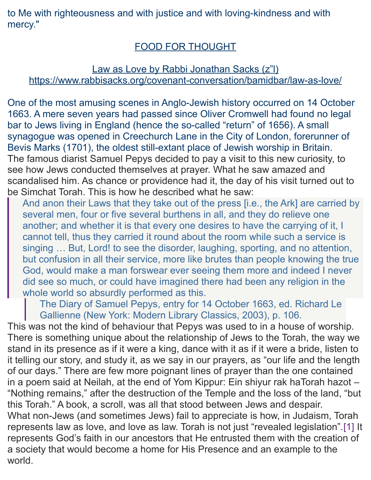to Me with righteousness and with justice and with loving-kindness and with mercy."

# FOOD FOR THOUGHT

# Law as Love by Rabbi Jonathan Sacks (z"l) <https://www.rabbisacks.org/covenant-conversation/bamidbar/law-as-love/>

One of the most amusing scenes in Anglo-Jewish history occurred on 14 October 1663. A mere seven years had passed since Oliver Cromwell had found no legal bar to Jews living in England (hence the so-called "return" of 1656). A small synagogue was opened in Creechurch Lane in the City of London, forerunner of Bevis Marks (1701), the oldest still-extant place of Jewish worship in Britain. The famous diarist Samuel Pepys decided to pay a visit to this new curiosity, to see how Jews conducted themselves at prayer. What he saw amazed and scandalised him. As chance or providence had it, the day of his visit turned out to be Simchat Torah. This is how he described what he saw:

And anon their Laws that they take out of the press [i.e., the Ark] are carried by several men, four or five several burthens in all, and they do relieve one another; and whether it is that every one desires to have the carrying of it, I cannot tell, thus they carried it round about the room while such a service is singing ... But, Lord! to see the disorder, laughing, sporting, and no attention, but confusion in all their service, more like brutes than people knowing the true God, would make a man forswear ever seeing them more and indeed I never did see so much, or could have imagined there had been any religion in the whole world so absurdly performed as this.

The Diary of Samuel Pepys, entry for 14 October 1663, ed. Richard Le Gallienne (New York: Modern Library Classics, 2003), p. 106.

This was not the kind of behaviour that Pepys was used to in a house of worship. There is something unique about the relationship of Jews to the Torah, the way we stand in its presence as if it were a king, dance with it as if it were a bride, listen to it telling our story, and study it, as we say in our prayers, as "our life and the length of our days." There are few more poignant lines of prayer than the one contained in a poem said at Neilah, at the end of Yom Kippur: Ein shiyur rak haTorah hazot – "Nothing remains," after the destruction of the Temple and the loss of the land, "but this Torah." A book, a scroll, was all that stood between Jews and despair. What non-Jews (and sometimes Jews) fail to appreciate is how, in Judaism, Torah represents law as love, and love as law. Torah is not just "revealed legislation"[.\[1\]](https://www.rabbisacks.org/covenant-conversation/bamidbar/law-as-love/#_ftn1) It represents God's faith in our ancestors that He entrusted them with the creation of a society that would become a home for His Presence and an example to the

world.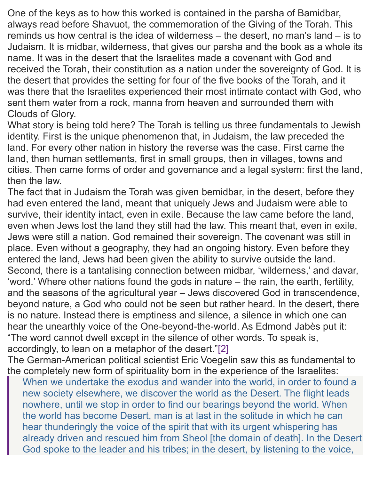One of the keys as to how this worked is contained in the parsha of Bamidbar, always read before Shavuot, the commemoration of the Giving of the Torah. This reminds us how central is the idea of wilderness – the desert, no man's land – is to Judaism. It is midbar, wilderness, that gives our parsha and the book as a whole its name. It was in the desert that the Israelites made a covenant with God and received the Torah, their constitution as a nation under the sovereignty of God. It is the desert that provides the setting for four of the five books of the Torah, and it was there that the Israelites experienced their most intimate contact with God, who sent them water from a rock, manna from heaven and surrounded them with Clouds of Glory.

What story is being told here? The Torah is telling us three fundamentals to Jewish identity. First is the unique phenomenon that, in Judaism, the law preceded the land. For every other nation in history the reverse was the case. First came the land, then human settlements, first in small groups, then in villages, towns and cities. Then came forms of order and governance and a legal system: first the land, then the law.

The fact that in Judaism the Torah was given bemidbar, in the desert, before they had even entered the land, meant that uniquely Jews and Judaism were able to survive, their identity intact, even in exile. Because the law came before the land, even when Jews lost the land they still had the law. This meant that, even in exile, Jews were still a nation. God remained their sovereign. The covenant was still in place. Even without a geography, they had an ongoing history. Even before they entered the land, Jews had been given the ability to survive outside the land. Second, there is a tantalising connection between midbar, 'wilderness,' and davar, 'word.' Where other nations found the gods in nature – the rain, the earth, fertility, and the seasons of the agricultural year – Jews discovered God in transcendence, beyond nature, a God who could not be seen but rather heard. In the desert, there is no nature. Instead there is emptiness and silence, a silence in which one can hear the unearthly voice of the One-beyond-the-world. As Edmond Jabès put it: "The word cannot dwell except in the silence of other words. To speak is, accordingly, to lean on a metaphor of the desert.["\[2\]](https://www.rabbisacks.org/covenant-conversation/bamidbar/law-as-love/#_ftn2)

The German-American political scientist Eric Voegelin saw this as fundamental to the completely new form of spirituality born in the experience of the Israelites:

When we undertake the exodus and wander into the world, in order to found a new society elsewhere, we discover the world as the Desert. The flight leads nowhere, until we stop in order to find our bearings beyond the world. When the world has become Desert, man is at last in the solitude in which he can hear thunderingly the voice of the spirit that with its urgent whispering has already driven and rescued him from Sheol [the domain of death]. In the Desert God spoke to the leader and his tribes; in the desert, by listening to the voice,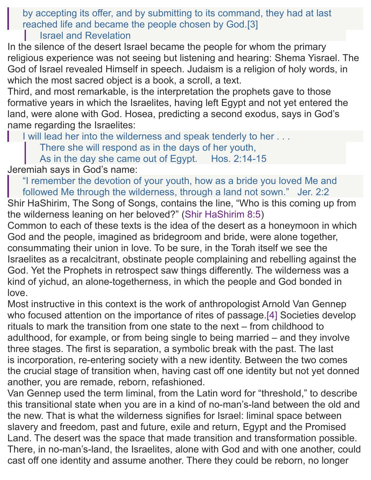by accepting its offer, and by submitting to its command, they had at last reached life and became the people chosen by God[.\[3\]](https://www.rabbisacks.org/covenant-conversation/bamidbar/law-as-love/#_ftn3) Israel and Revelation

In the silence of the desert Israel became the people for whom the primary religious experience was not seeing but listening and hearing: Shema Yisrael. The God of Israel revealed Himself in speech. Judaism is a religion of holy words, in which the most sacred object is a book, a scroll, a text.

Third, and most remarkable, is the interpretation the prophets gave to those formative years in which the Israelites, having left Egypt and not yet entered the land, were alone with God. Hosea, predicting a second exodus, says in God's name regarding the Israelites:

I will lead her into the wilderness and speak tenderly to her . . .

There she will respond as in the days of her youth,

As in the day she came out of Egypt. [Hos. 2:14-15](https://www.sefaria.org/Hosea.2.14-15?lang=he-en&utm_source=rabbisacks.org&utm_medium=sefaria_linker)

Jeremiah says in God's name:

"I remember the devotion of your youth, how as a bride you loved Me and followed Me through the wilderness, through a land not sown." [Jer. 2:2](https://www.sefaria.org/Jeremiah.2.2?lang=he-en&utm_source=rabbisacks.org&utm_medium=sefaria_linker)

Shir HaShirim, The Song of Songs, contains the line, "Who is this coming up from the wilderness leaning on her beloved?" [\(Shir HaShirim 8:5\)](https://www.sefaria.org/Song_of_Songs.8.5?lang=he-en&utm_source=rabbisacks.org&utm_medium=sefaria_linker)

Common to each of these texts is the idea of the desert as a honeymoon in which God and the people, imagined as bridegroom and bride, were alone together, consummating their union in love. To be sure, in the Torah itself we see the Israelites as a recalcitrant, obstinate people complaining and rebelling against the God. Yet the Prophets in retrospect saw things differently. The wilderness was a kind of yichud, an alone-togetherness, in which the people and God bonded in love.

Most instructive in this context is the work of anthropologist Arnold Van Gennep who focused attention on the importance of rites of passage[.\[4\]](https://www.rabbisacks.org/covenant-conversation/bamidbar/law-as-love/#_ftn4) Societies develop rituals to mark the transition from one state to the next – from childhood to adulthood, for example, or from being single to being married – and they involve three stages. The first is separation, a symbolic break with the past. The last is incorporation, re-entering society with a new identity. Between the two comes the crucial stage of transition when, having cast off one identity but not yet donned another, you are remade, reborn, refashioned.

Van Gennep used the term liminal, from the Latin word for "threshold," to describe this transitional state when you are in a kind of no-man's-land between the old and the new. That is what the wilderness signifies for Israel: liminal space between slavery and freedom, past and future, exile and return, Egypt and the Promised Land. The desert was the space that made transition and transformation possible. There, in no-man's-land, the Israelites, alone with God and with one another, could cast off one identity and assume another. There they could be reborn, no longer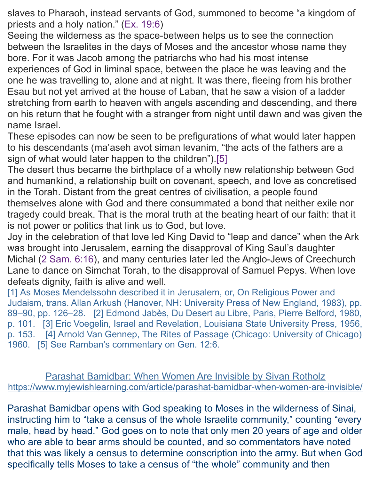slaves to Pharaoh, instead servants of God, summoned to become "a kingdom of priests and a holy nation." [\(Ex. 19:6\)](https://www.sefaria.org/Exodus.19.6?lang=he-en&utm_source=rabbisacks.org&utm_medium=sefaria_linker)

Seeing the wilderness as the space-between helps us to see the connection between the Israelites in the days of Moses and the ancestor whose name they bore. For it was Jacob among the patriarchs who had his most intense experiences of God in liminal space, between the place he was leaving and the one he was travelling to, alone and at night. It was there, fleeing from his brother Esau but not yet arrived at the house of Laban, that he saw a vision of a ladder stretching from earth to heaven with angels ascending and descending, and there on his return that he fought with a stranger from night until dawn and was given the name Israel.

These episodes can now be seen to be prefigurations of what would later happen to his descendants (ma'aseh avot siman levanim, "the acts of the fathers are a sign of what would later happen to the children")[.\[5\]](https://www.rabbisacks.org/covenant-conversation/bamidbar/law-as-love/#_ftn5)

The desert thus became the birthplace of a wholly new relationship between God and humankind, a relationship built on covenant, speech, and love as concretised in the Torah. Distant from the great centres of civilisation, a people found themselves alone with God and there consummated a bond that neither exile nor tragedy could break. That is the moral truth at the beating heart of our faith: that it is not power or politics that link us to God, but love.

Joy in the celebration of that love led King David to "leap and dance" when the Ark was brought into Jerusalem, earning the disapproval of King Saul's daughter Michal [\(2 Sam. 6:16\)](https://www.sefaria.org/II_Samuel.6.16?lang=he-en&utm_source=rabbisacks.org&utm_medium=sefaria_linker), and many centuries later led the Anglo-Jews of Creechurch Lane to dance on Simchat Torah, to the disapproval of Samuel Pepys. When love defeats dignity, faith is alive and well.

[\[1\]](https://www.rabbisacks.org/covenant-conversation/bamidbar/law-as-love/#_ftnref1) As Moses Mendelssohn described it in Jerusalem, or, On Religious Power and Judaism, trans. Allan Arkush (Hanover, NH: University Press of New England, 1983), pp. 89–90, pp. 126–28. [\[2\]](https://www.rabbisacks.org/covenant-conversation/bamidbar/law-as-love/#_ftnref2) Edmond Jabès, Du Desert au Libre, Paris, Pierre Belford, 1980, p. 101. [\[3\]](https://www.rabbisacks.org/covenant-conversation/bamidbar/law-as-love/#_ftnref3) Eric Voegelin, Israel and Revelation, Louisiana State University Press, 1956, p. 153. [\[4\]](https://www.rabbisacks.org/covenant-conversation/bamidbar/law-as-love/#_ftnref4) Arnold Van Gennep, The Rites of Passage (Chicago: University of Chicago) 1960. [\[5\]](https://www.rabbisacks.org/covenant-conversation/bamidbar/law-as-love/#_ftnref5) See Ramban's commentary on [Gen. 12:6.](https://www.sefaria.org/Genesis.12.6?lang=he-en&utm_source=rabbisacks.org&utm_medium=sefaria_linker)

Parashat Bamidbar: When Women Are Invisible by Sivan Rotholz <https://www.myjewishlearning.com/article/parashat-bamidbar-when-women-are-invisible/>

Parashat Bamidbar opens with God speaking to Moses in the wilderness of Sinai, instructing him to "take a census of the whole Israelite community," counting "every male, head by head." God goes on to note that only men 20 years of age and older who are able to bear arms should be counted, and so commentators have noted that this was likely a census to determine conscription into the army. But when God specifically tells Moses to take a census of "the whole" community and then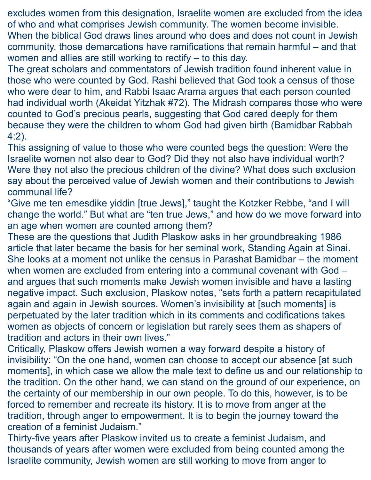excludes women from this designation, Israelite women are excluded from the idea of who and what comprises Jewish community. The women become invisible. When the biblical God draws lines around who does and does not count in Jewish community, those demarcations have ramifications that remain harmful – and that women and allies are still working to rectify – to this day.

The great scholars and commentators of Jewish tradition found inherent value in those who were counted by God. [Rashi believed](https://www.sefaria.org/Numbers.1.1?lang=bi&with=Rashi&lang2=en) that God took a census of those who were dear to him, and Rabbi Isaac Arama argues that each person counted had individual worth [\(Akeidat Yitzhak #72\)](https://www.sefaria.org/Akeidat_Yitzchak.72.1.5?lang=en&with=all&lang2=en). The Midrash compares those who were counted to God's precious pearls, suggesting that God cared deeply for them because they were the children to whom God had given birth [\(Bamidbar Rabbah](https://www.sefaria.org/Bamidbar_Rabbah.4.2?lang=en&with=all&lang2=en)  [4:2\)](https://www.sefaria.org/Bamidbar_Rabbah.4.2?lang=en&with=all&lang2=en).

This assigning of value to those who were counted begs the question: Were the Israelite women not also dear to God? Did they not also have individual worth? Were they not also the precious children of the divine? What does such exclusion say about the perceived value of Jewish women and their contributions to Jewish communal life?

"Give me ten emesdike yiddin [true Jews]," taught the Kotzker Rebbe, "and I will change the world." But what are "ten true Jews," and how do we move forward into an age when women are counted among them?

These are the questions that Judith Plaskow asks in her groundbreaking 1986 article that later became the basis for her seminal work, Standing Again at Sinai. She looks at a moment not unlike the census in Parashat Bamidbar – the moment when women are excluded from entering into a communal covenant with God – and argues that such moments make Jewish women invisible and have a lasting negative impact. Such exclusion, Plaskow notes, "sets forth a pattern recapitulated again and again in Jewish sources. Women's invisibility at [such moments] is perpetuated by the later tradition which in its comments and codifications takes women as objects of concern or legislation but rarely sees them as shapers of tradition and actors in their own lives."

Critically, Plaskow offers Jewish women a way forward despite a history of invisibility: "On the one hand, women can choose to accept our absence [at such moments], in which case we allow the male text to define us and our relationship to the tradition. On the other hand, we can stand on the ground of our experience, on the certainty of our membership in our own people. To do this, however, is to be forced to remember and recreate its history. It is to move from anger at the tradition, through anger to empowerment. It is to begin the journey toward the creation of a feminist Judaism."

Thirty-five years after Plaskow invited us to create a feminist Judaism, and thousands of years after women were excluded from being counted among the Israelite community, Jewish women are still working to move from anger to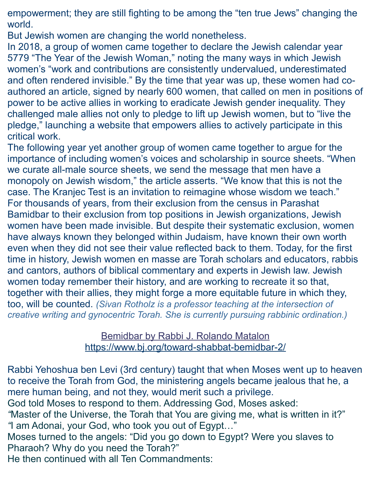empowerment; they are still fighting to be among the "ten true Jews" changing the world.

But Jewish women are changing the world nonetheless.

In 2018, a group of women came together to [declare the Jewish calendar year](https://ejewishphilanthropy.com/lets-make-5779-the-year-of-the-jewish-woman-5779-yotjw/)  [5779](https://ejewishphilanthropy.com/lets-make-5779-the-year-of-the-jewish-woman-5779-yotjw/) "The Year of the Jewish Woman," noting the many ways in which Jewish women's "work and contributions are consistently undervalued, underestimated and often rendered invisible." By the time that year was up, these women had coauthored an article, signed by nearly 600 women, that called on men in positions of power to be active allies in working to eradicate Jewish gender inequality. They challenged male allies not only to pledge to lift up Jewish women, but to "live the pledge," [launching a website](https://www.livethepledge.com/)) that empowers allies to actively participate in this critical work.

The following year yet another group of women came together to argue for the importance of including women's voices and scholarship in source sheets. "When we curate all-male source sheets, we send the message that men have a monopoly on Jewish wisdom," the article asserts. "We know that this is not the case. The [Kranjec Test](https://ejewishphilanthropy.com/the-kranjec-test/) is an invitation to reimagine whose wisdom we teach." For thousands of years, from their exclusion from the census in Parashat Bamidbar to their exclusion from top positions in Jewish organizations, Jewish women have been made invisible. But despite their systematic exclusion, women have always known they belonged within Judaism, have known their own worth even when they did not see their value reflected back to them. Today, for the first time in history, Jewish women en masse are Torah scholars and educators, rabbis and cantors, authors of biblical commentary and experts in Jewish law. Jewish women today remember their history, and are working to recreate it so that, together with their allies, they might forge a more equitable future in which they, too, will be counted. *(Sivan Rotholz is a professor teaching at the intersection of creative writing and gynocentric Torah. She is currently pursuing rabbinic ordination.)*

## Bemidbar by Rabbi J. Rolando Matalon <https://www.bj.org/toward-shabbat-bemidbar-2/>

Rabbi Yehoshua ben Levi (3rd century) taught that when Moses went up to heaven to receive the Torah from God, the ministering angels became jealous that he, a mere human being, and not they, would merit such a privilege. God told Moses to respond to them. Addressing God, Moses asked: *"*Master of the Universe, the Torah that You are giving me, what is written in it?" *"*I am Adonai, your God, who took you out of Egypt…" Moses turned to the angels: "Did you go down to Egypt? Were you slaves to Pharaoh? Why do you need the Torah?" He then continued with all Ten Commandments: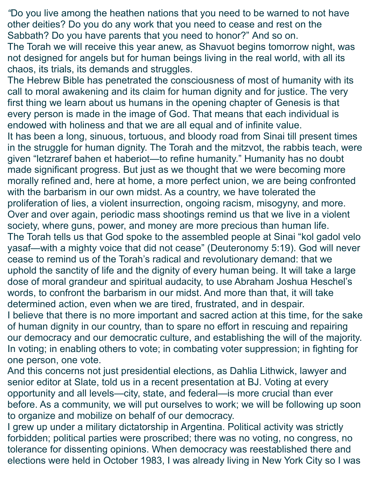*"*Do you live among the heathen nations that you need to be warned to not have other deities? Do you do any work that you need to cease and rest on the Sabbath? Do you have parents that you need to honor?" And so on.

The Torah we will receive this year anew, as Shavuot begins tomorrow night, was not designed for angels but for human beings living in the real world, with all its chaos, its trials, its demands and struggles.

The Hebrew Bible has penetrated the consciousness of most of humanity with its call to moral awakening and its claim for human dignity and for justice. The very first thing we learn about us humans in the opening chapter of Genesis is that every person is made in the image of God. That means that each individual is endowed with holiness and that we are all equal and of infinite value. It has been a long, sinuous, tortuous, and bloody road from Sinai till present times in the struggle for human dignity. The Torah and the mitzvot, the rabbis teach, were given "letzraref bahen et haberiot—to refine humanity." Humanity has no doubt made significant progress. But just as we thought that we were becoming more morally refined and, here at home, a more perfect union, we are being confronted with the barbarism in our own midst. As a country, we have tolerated the proliferation of lies, a violent insurrection, ongoing racism, misogyny, and more. Over and over again, periodic mass shootings remind us that we live in a violent society, where guns, power, and money are more precious than human life. The Torah tells us that God spoke to the assembled people at Sinai "kol gadol velo yasaf—with a mighty voice that did not cease" (Deuteronomy 5:19). God will never cease to remind us of the Torah's radical and revolutionary demand: that we uphold the sanctity of life and the dignity of every human being. It will take a large dose of moral grandeur and spiritual audacity, to use Abraham Joshua Heschel's words, to confront the barbarism in our midst. And more than that, it will take determined action, even when we are tired, frustrated, and in despair. I believe that there is no more important and sacred action at this time, for the sake of human dignity in our country, than to spare no effort in rescuing and repairing our democracy and our democratic culture, and establishing the will of the majority. In voting; in enabling others to vote; in combating voter suppression; in fighting for one person, one vote.

And this concerns not just presidential elections, as Dahlia Lithwick, lawyer and senior editor at Slate, told us in a recent presentation at BJ. Voting at every opportunity and all levels—city, state, and federal—is more crucial than ever before. As a community, we will put ourselves to work; we will be following up soon to organize and mobilize on behalf of our democracy.

I grew up under a military dictatorship in Argentina. Political activity was strictly forbidden; political parties were proscribed; there was no voting, no congress, no tolerance for dissenting opinions. When democracy was reestablished there and elections were held in October 1983, I was already living in New York City so I was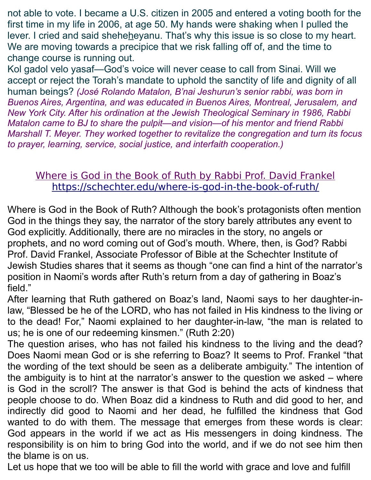not able to vote. I became a U.S. citizen in 2005 and entered a voting booth for the first time in my life in 2006, at age 50. My hands were shaking when I pulled the lever. I cried and said sheheheyanu. That's why this issue is so close to my heart. We are moving towards a precipice that we risk falling off of, and the time to change course is running out.

Kol gadol velo yasaf—God's voice will never cease to call from Sinai. Will we accept or reject the Torah's mandate to uphold the sanctity of life and dignity of all human beings? *(José Rolando Matalon, B'nai Jeshurun's senior rabbi, was born in Buenos Aires, Argentina, and was educated in Buenos Aires, Montreal, Jerusalem, and New York City. After his ordination at the Jewish Theological Seminary in 1986, Rabbi Matalon came to BJ to share the pulpit—and vision—of his mentor and friend Rabbi Marshall T. Meyer. They worked together to revitalize the congregation and turn its focus to prayer, learning, service, social justice, and interfaith cooperation.)*

# Where is God in the Book of Ruth by Rabbi Prof. David Frankel <https://schechter.edu/where-is-god-in-the-book-of-ruth/>

Where is God in the Book of Ruth? Although the book's protagonists often mention God in the things they say, the narrator of the story barely attributes any event to God explicitly. Additionally, there are no miracles in the story, no angels or prophets, and no word coming out of God's mouth. Where, then, is God? Rabbi Prof. David Frankel, Associate Professor of Bible at the Schechter Institute of Jewish Studies shares that it seems as though "one can find a hint of the narrator's position in Naomi's words after Ruth's return from a day of gathering in Boaz's field."

After learning that Ruth gathered on Boaz's land, Naomi says to her daughter-inlaw, "Blessed be he of the LORD, who has not failed in His kindness to the living or to the dead! For," Naomi explained to her daughter-in-law, "the man is related to us; he is one of our redeeming kinsmen." (Ruth 2:20)

The question arises, who has not failed his kindness to the living and the dead? Does Naomi mean God or is she referring to Boaz? It seems to Prof. Frankel "that the wording of the text should be seen as a deliberate ambiguity." The intention of the ambiguity is to hint at the narrator's answer to the question we asked – where is God in the scroll? The answer is that God is behind the acts of kindness that people choose to do. When Boaz did a kindness to Ruth and did good to her, and indirectly did good to Naomi and her dead, he fulfilled the kindness that God wanted to do with them. The message that emerges from these words is clear: God appears in the world if we act as His messengers in doing kindness. The responsibility is on him to bring God into the world, and if we do not see him then the blame is on us.

Let us hope that we too will be able to fill the world with grace and love and fulfill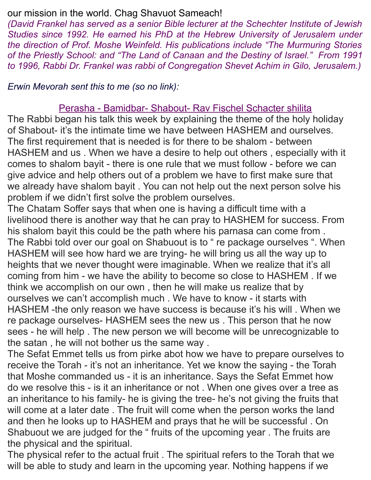#### our mission in the world. Chag Shavuot Sameach!

*(David Frankel has served as a senior Bible lecturer at the Schechter Institute of Jewish Studies since 1992. He earned his PhD at the Hebrew University of Jerusalem under the direction of Prof. Moshe Weinfeld. His publications include "The Murmuring Stories of the Priestly School: and "The Land of Canaan and the Destiny of Israel." From 1991 to 1996, Rabbi Dr. Frankel was rabbi of Congregation Shevet Achim in Gilo, Jerusalem.)*

*Erwin Mevorah sent this to me (so no link):*

#### Perasha - Bamidbar- Shabout- Rav Fischel Schacter shilita

The Rabbi began his talk this week by explaining the theme of the holy holiday of Shabout- it's the intimate time we have between HASHEM and ourselves. The first requirement that is needed is for there to be shalom - between HASHEM and us . When we have a desire to help out others , especially with it comes to shalom bayit - there is one rule that we must follow - before we can give advice and help others out of a problem we have to first make sure that we already have shalom bayit . You can not help out the next person solve his problem if we didn't first solve the problem ourselves.

The Chatam Soffer says that when one is having a difficult time with a livelihood there is another way that he can pray to HASHEM for success. From his shalom bayit this could be the path where his parnasa can come from . The Rabbi told over our goal on Shabuout is to " re package ourselves ". When HASHEM will see how hard we are trying- he will bring us all the way up to heights that we never thought were imaginable. When we realize that it's all coming from him - we have the ability to become so close to HASHEM . If we think we accomplish on our own , then he will make us realize that by ourselves we can't accomplish much . We have to know - it starts with HASHEM -the only reason we have success is because it's his will . When we re package ourselves- HASHEM sees the new us . This person that he now sees - he will help . The new person we will become will be unrecognizable to the satan , he will not bother us the same way .

The Sefat Emmet tells us from pirke abot how we have to prepare ourselves to receive the Torah - it's not an inheritance. Yet we know the saying - the Torah that Moshe commanded us - it is an inheritance. Says the Sefat Emmet how do we resolve this - is it an inheritance or not . When one gives over a tree as an inheritance to his family- he is giving the tree- he's not giving the fruits that will come at a later date . The fruit will come when the person works the land and then he looks up to HASHEM and prays that he will be successful . On Shabuout we are judged for the " fruits of the upcoming year . The fruits are the physical and the spiritual.

The physical refer to the actual fruit . The spiritual refers to the Torah that we will be able to study and learn in the upcoming year. Nothing happens if we